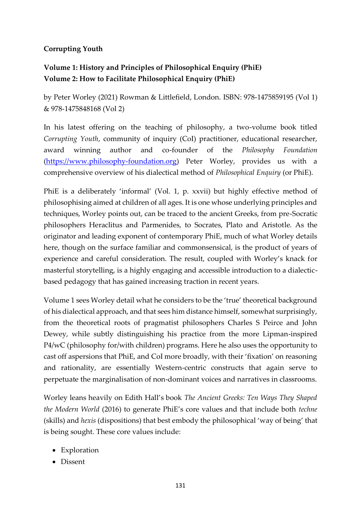# **Corrupting Youth**

# **Volume 1: History and Principles of Philosophical Enquiry (PhiE) Volume 2: How to Facilitate Philosophical Enquiry (PhiE)**

by Peter Worley (2021) Rowman & Littlefield, London. ISBN: 978-1475859195 (Vol 1) & 978-1475848168 (Vol 2)

In his latest offering on the teaching of philosophy, a two-volume book titled *Corrupting Youth*, community of inquiry (CoI) practitioner, educational researcher, award winning author and co-founder of the *Philosophy Foundation*  [\(https://www.philosophy-foundation.org\)](https://www.philosophy-foundation.org/) Peter Worley, provides us with a comprehensive overview of his dialectical method of *Philosophical Enquiry* (or PhiE).

PhiE is a deliberately 'informal' (Vol. 1, p. xxvii) but highly effective method of philosophising aimed at children of all ages. It is one whose underlying principles and techniques, Worley points out, can be traced to the ancient Greeks, from pre-Socratic philosophers Heraclitus and Parmenides, to Socrates, Plato and Aristotle. As the originator and leading exponent of contemporary PhiE, much of what Worley details here, though on the surface familiar and commonsensical, is the product of years of experience and careful consideration. The result, coupled with Worley's knack for masterful storytelling, is a highly engaging and accessible introduction to a dialecticbased pedagogy that has gained increasing traction in recent years.

Volume 1 sees Worley detail what he considers to be the 'true' theoretical background of his dialectical approach, and that sees him distance himself, somewhat surprisingly, from the theoretical roots of pragmatist philosophers Charles S Peirce and John Dewey, while subtly distinguishing his practice from the more Lipman-inspired P4/wC (philosophy for/with children) programs. Here he also uses the opportunity to cast off aspersions that PhiE, and CoI more broadly, with their 'fixation' on reasoning and rationality, are essentially Western-centric constructs that again serve to perpetuate the marginalisation of non-dominant voices and narratives in classrooms.

Worley leans heavily on Edith Hall's book *The Ancient Greeks: Ten Ways They Shaped the Modern World* (2016) to generate PhiE's core values and that include both *techne*  (skills) and *hexis* (dispositions) that best embody the philosophical 'way of being' that is being sought. These core values include:

- Exploration
- Dissent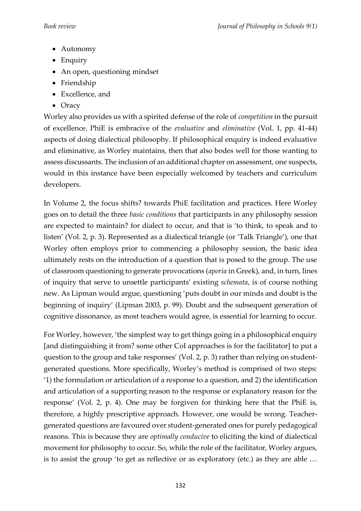- Autonomy
- Enquiry
- An open, questioning mindset
- Friendship
- Excellence, and
- Oracy

Worley also provides us with a spirited defense of the role of *competition* in the pursuit of excellence. PhiE is embracive of the *evaluative* and *eliminative* (Vol. 1, pp. 41-44) aspects of doing dialectical philosophy. If philosophical enquiry is indeed evaluative and eliminative, as Worley maintains, then that also bodes well for those wanting to assess discussants. The inclusion of an additional chapter on assessment, one suspects, would in this instance have been especially welcomed by teachers and curriculum developers.

In Volume 2, the focus shifts? towards PhiE facilitation and practices. Here Worley goes on to detail the three *basic conditions* that participants in any philosophy session are expected to maintain? for dialect to occur, and that is 'to think, to speak and to listen' (Vol. 2, p. 3). Represented as a dialectical triangle (or 'Talk Triangle'), one that Worley often employs prior to commencing a philosophy session, the basic idea ultimately rests on the introduction of a question that is posed to the group. The use of classroom questioning to generate provocations (*aporia* in Greek), and, in turn, lines of inquiry that serve to unsettle participants' existing *schemata*, is of course nothing new. As Lipman would argue, questioning 'puts doubt in our minds and doubt is the beginning of inquiry' (Lipman 2003, p. 99). Doubt and the subsequent generation of cognitive dissonance, as most teachers would agree, is essential for learning to occur.

For Worley, however, 'the simplest way to get things going in a philosophical enquiry [and distinguishing it from? some other CoI approaches is for the facilitator] to put a question to the group and take responses' (Vol. 2, p. 3) rather than relying on studentgenerated questions. More specifically, Worley's method is comprised of two steps: '1) the formulation or articulation of a response to a question, and 2) the identification and articulation of a supporting reason to the response or explanatory reason for the response' (Vol. 2, p. 4). One may be forgiven for thinking here that the PhiE is, therefore, a highly prescriptive approach. However, one would be wrong. Teachergenerated questions are favoured over student-generated ones for purely pedagogical reasons. This is because they are *optimally conducive* to eliciting the kind of dialectical movement for philosophy to occur. So, while the role of the facilitator, Worley argues, is to assist the group 'to get as reflective or as exploratory (etc.) as they are able …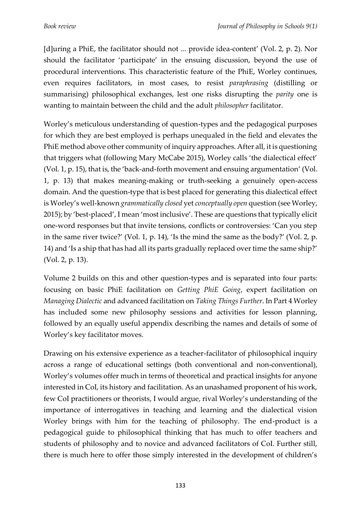[d]uring a PhiE, the facilitator should not ... provide idea-content' (Vol. 2, p. 2). Nor should the facilitator 'participate' in the ensuing discussion, beyond the use of procedural interventions. This characteristic feature of the PhiE, Worley continues, even requires facilitators, in most cases, to resist *paraphrasing* (distilling or summarising) philosophical exchanges, lest one risks disrupting the *parity* one is wanting to maintain between the child and the adult *philosopher* facilitator.

Worley's meticulous understanding of question-types and the pedagogical purposes for which they are best employed is perhaps unequaled in the field and elevates the PhiE method above other community of inquiry approaches. After all, it is questioning that triggers what (following Mary McCabe 2015), Worley calls 'the dialectical effect' (Vol. 1, p. 15), that is, the 'back-and-forth movement and ensuing argumentation' (Vol. 1, p. 13) that makes meaning-making or truth-seeking a genuinely open-access domain. And the question-type that is best placed for generating this dialectical effect is Worley's well-known *grammatically closed* yet *conceptually open* question (see Worley, 2015); by 'best-placed', I mean 'most inclusive'. These are questions that typically elicit one-word responses but that invite tensions, conflicts or controversies: 'Can you step in the same river twice?' (Vol. 1, p. 14), 'Is the mind the same as the body?' (Vol. 2, p. 14) and 'Is a ship that has had all its parts gradually replaced over time the same ship?' (Vol. 2, p. 13).

Volume 2 builds on this and other question-types and is separated into four parts: focusing on basic PhiE facilitation on *Getting PhiE Going*, expert facilitation on *Managing Dialectic* and advanced facilitation on *Taking Things Further*. In Part 4 Worley has included some new philosophy sessions and activities for lesson planning, followed by an equally useful appendix describing the names and details of some of Worley's key facilitator moves.

Drawing on his extensive experience as a teacher-facilitator of philosophical inquiry across a range of educational settings (both conventional and non-conventional), Worley's volumes offer much in terms of theoretical and practical insights for anyone interested in CoI, its history and facilitation. As an unashamed proponent of his work, few CoI practitioners or theorists, I would argue, rival Worley's understanding of the importance of interrogatives in teaching and learning and the dialectical vision Worley brings with him for the teaching of philosophy. The end-product is a pedagogical guide to philosophical thinking that has much to offer teachers and students of philosophy and to novice and advanced facilitators of CoI. Further still, there is much here to offer those simply interested in the development of children's